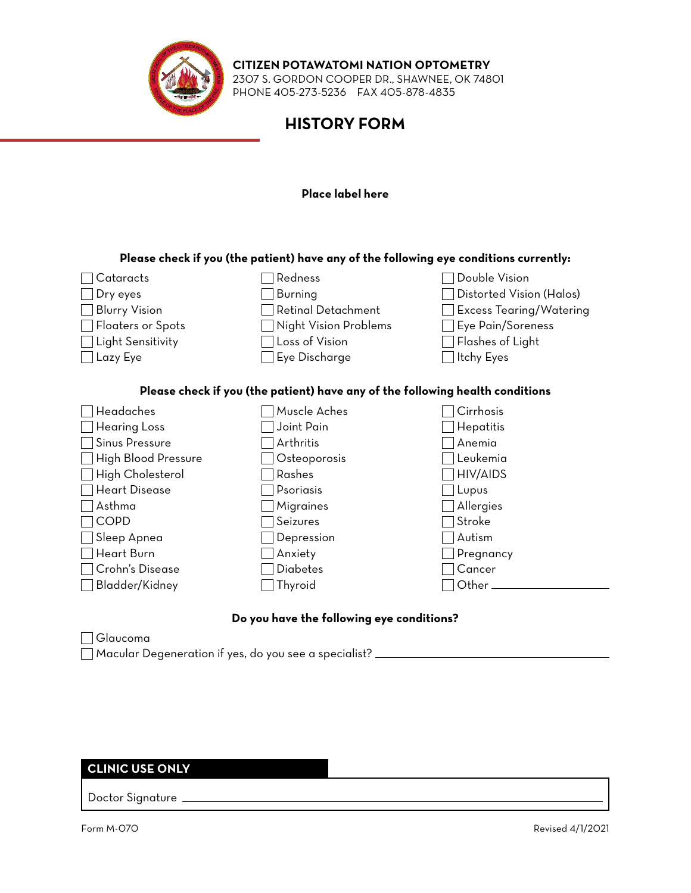

## **CITIZEN POTAWATOMI NATION OPTOMETRY**

2307 S. GORDON COOPER DR., SHAWNEE, OK 74801 PHONE 405-273-5236 FAX 405-878-4835

# **HISTORY FORM**

### **Place label here**

## **Please check if you (the patient) have any of the following eye conditions currently:**

| Cataracts                                                                     | Redness                   | Double Vision                  |  |  |  |
|-------------------------------------------------------------------------------|---------------------------|--------------------------------|--|--|--|
| Dry eyes                                                                      | <b>Burning</b>            | Distorted Vision (Halos)       |  |  |  |
| <b>Blurry Vision</b>                                                          | <b>Retinal Detachment</b> | <b>Excess Tearing/Watering</b> |  |  |  |
| Floaters or Spots                                                             | Night Vision Problems     | Eye Pain/Soreness              |  |  |  |
| Light Sensitivity                                                             | Loss of Vision            | Flashes of Light               |  |  |  |
| Lazy Eye                                                                      | Eye Discharge             | Itchy Eyes                     |  |  |  |
|                                                                               |                           |                                |  |  |  |
| Please check if you (the patient) have any of the following health conditions |                           |                                |  |  |  |
| Headaches                                                                     | Muscle Aches              | Cirrhosis                      |  |  |  |
| <b>Hearing Loss</b>                                                           | Joint Pain                | Hepatitis                      |  |  |  |
| Sinus Pressure                                                                | Arthritis                 | Anemia                         |  |  |  |
| High Blood Pressure                                                           | Osteoporosis              | Leukemia                       |  |  |  |
| High Cholesterol                                                              | Rashes                    | HIV/AIDS                       |  |  |  |
| <b>Heart Disease</b>                                                          | Psoriasis                 | Lupus                          |  |  |  |
| Asthma                                                                        | <b>Migraines</b>          | Allergies                      |  |  |  |
| COPD                                                                          | Seizures                  | Stroke                         |  |  |  |
| Sleep Apnea                                                                   | Depression                | Autism                         |  |  |  |
| Heart Burn                                                                    | Anxiety                   | Pregnancy                      |  |  |  |
| Crohn's Disease                                                               | Diabetes                  | Cancer                         |  |  |  |
| Bladder/Kidney                                                                | Thyroid                   | Other.                         |  |  |  |
|                                                                               |                           |                                |  |  |  |

#### **Do you have the following eye conditions?**

Glaucoma

Macular Degeneration if yes, do you see a specialist?

### **CLINIC USE ONLY**

Doctor Signature \_